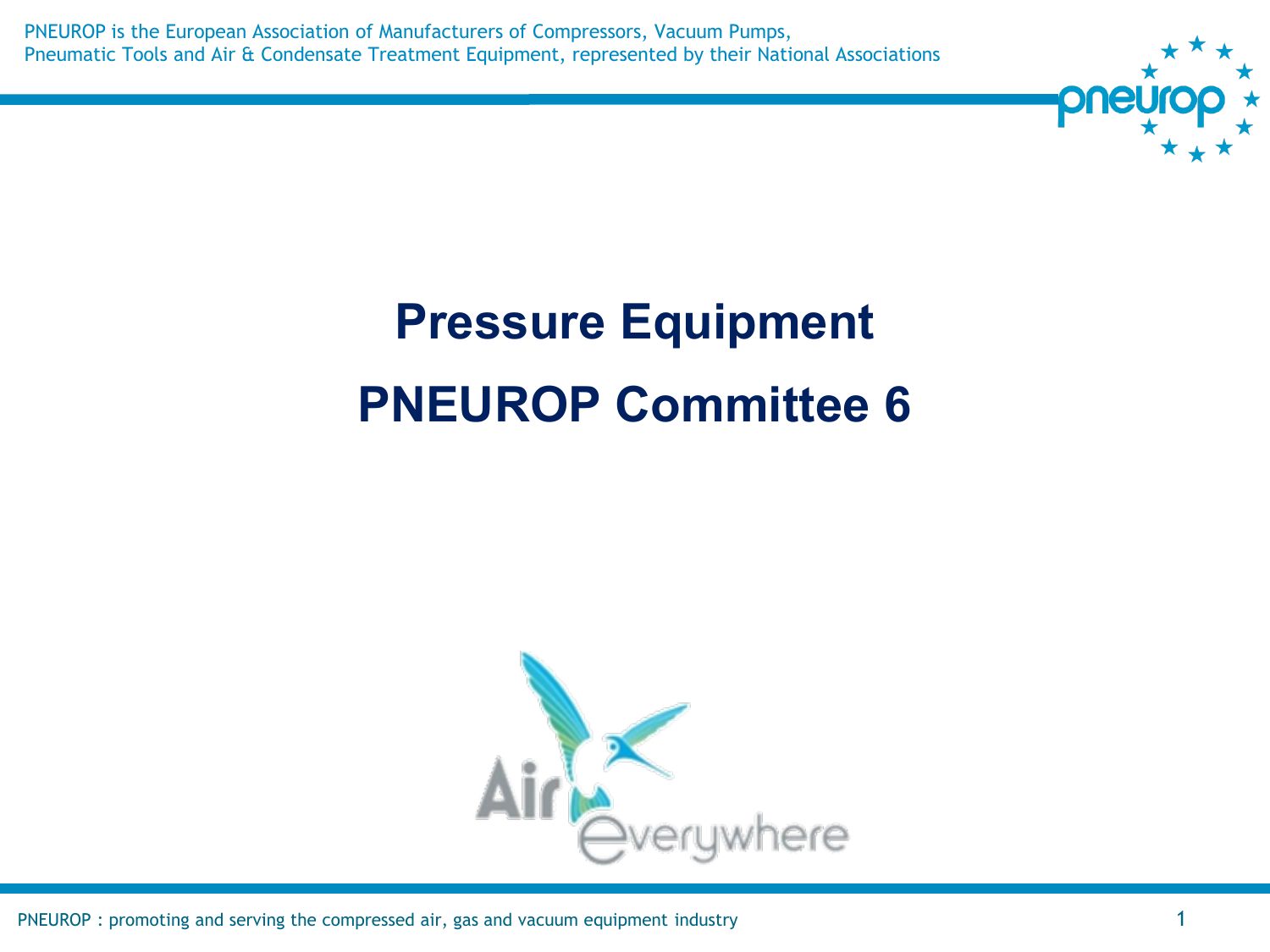PNEUROP is the European Association of Manufacturers of Compressors, Vacuum Pumps, Pneumatic Tools and Air & Condensate Treatment Equipment, represented by their National Associations



# **Pressure Equipment PNEUROP Committee 6**



PNEUROP : promoting and serving the compressed air, gas and vacuum equipment industry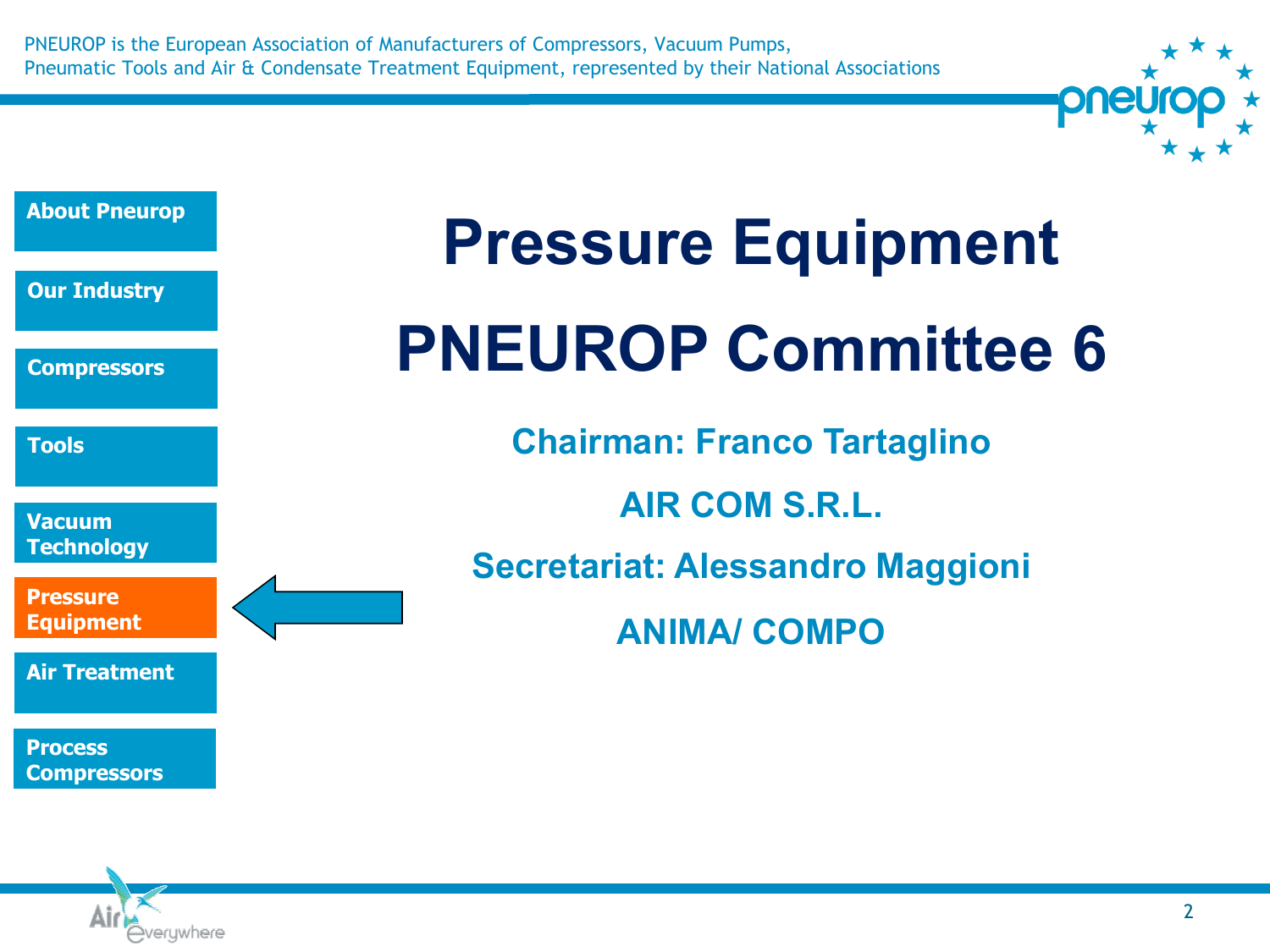PNEUROP is the European Association of Manufacturers of Compressors, Vacuum Pumps, Pneumatic Tools and Air & Condensate Treatment Equipment, represented by their National Associations



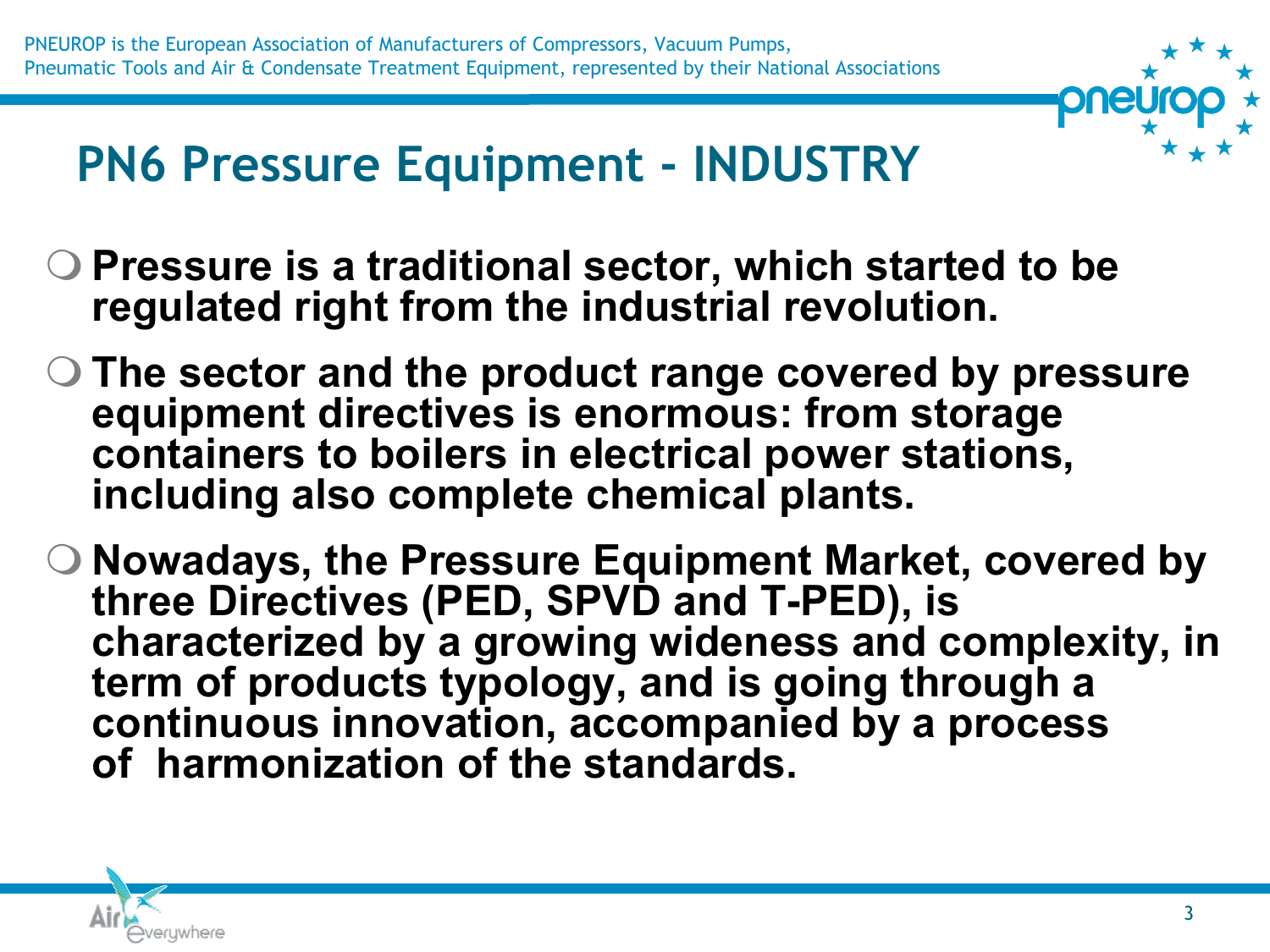

# **PN6 Pressure Equipment - INDUSTRY**

- **Pressure is a traditional sector, which started to be regulated right from the industrial revolution.**
- **The sector and the product range covered by pressure equipment directives is enormous: from storage containers to boilers in electrical power stations, including also complete chemical plants.**
- **Nowadays, the Pressure Equipment Market, covered by three Directives (PED, SPVD and T-PED), is**  characterized by a growing wideness and complexity, in **term of products typology, and is going through a continuous innovation, accompanied by a process of harmonization of the standards.**

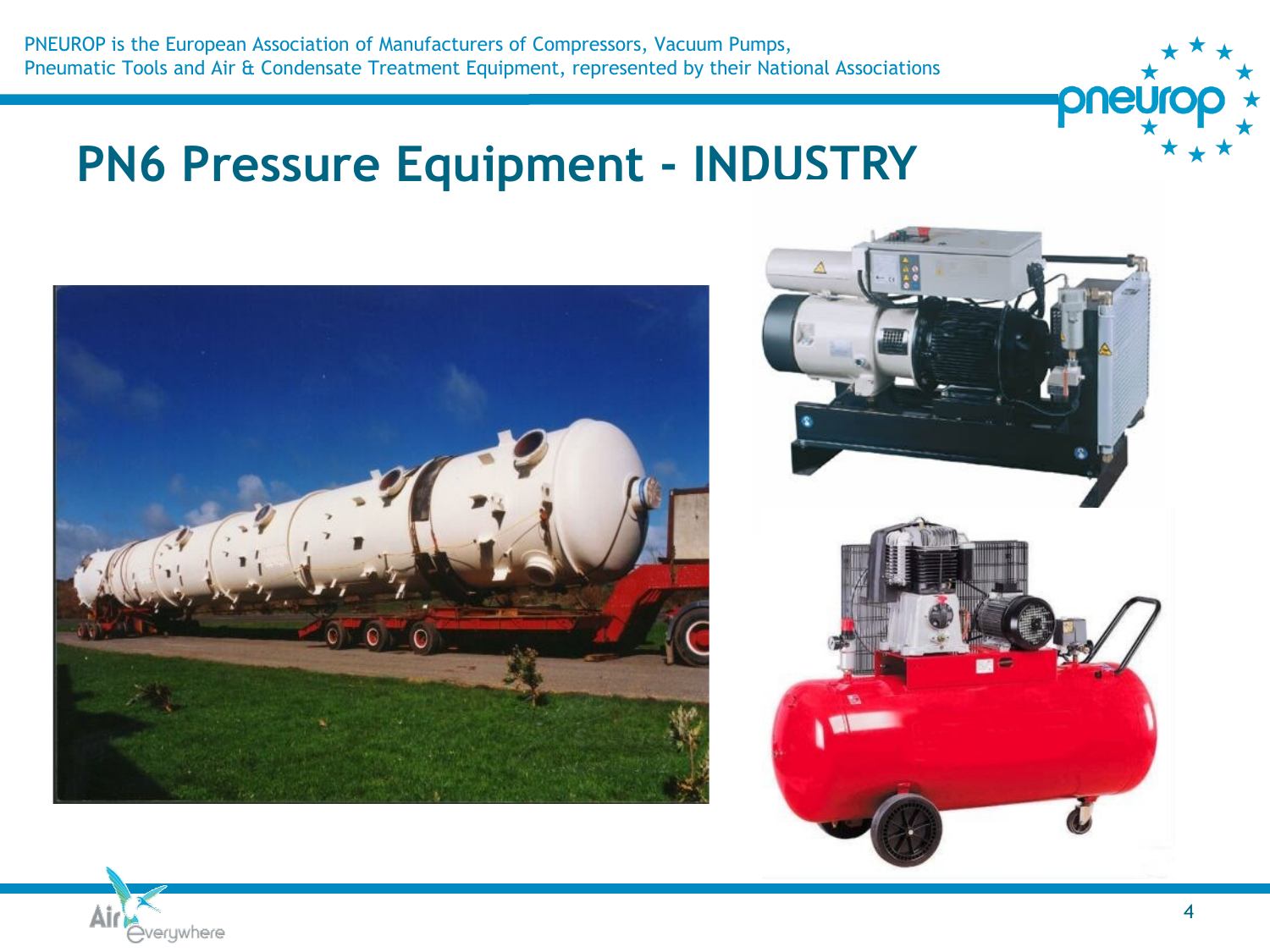

## **PN6 Pressure Equipment - INDUSTRY**





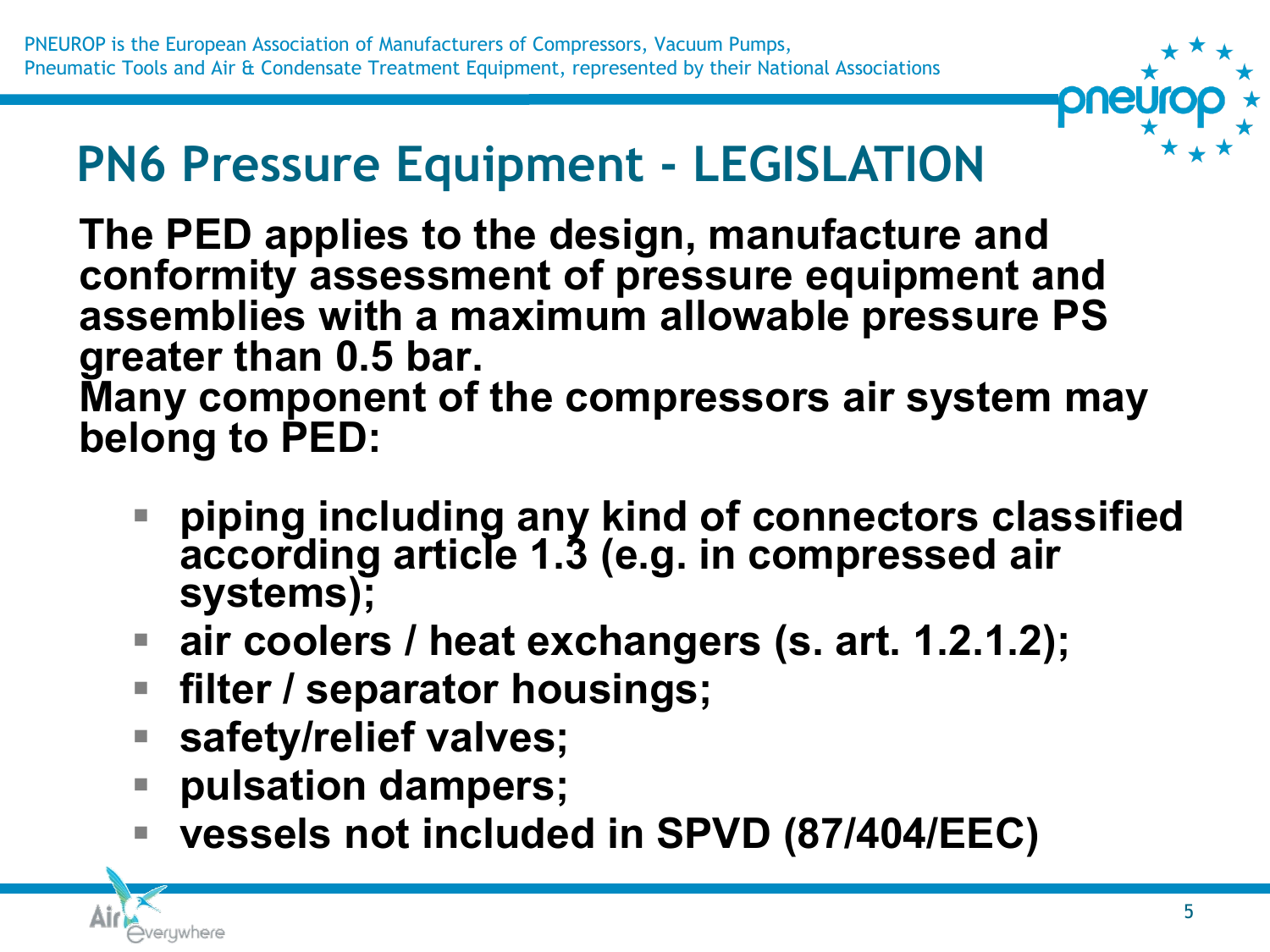# **PN6 Pressure Equipment - LEGISLATION**

**The PED applies to the design, manufacture and conformity assessment of pressure equipment and assemblies with a maximum allowable pressure PS greater than 0.5 bar. Many component of the compressors air system may belong to PED:** 

- **piping including any kind of connectors classified according article 1.3 (e.g. in compressed air systems);**
- **air coolers / heat exchangers (s. art. 1.2.1.2);**
- **filter / separator housings;**
- safety/relief valves;
- **pulsation dampers;**
- **vessels not included in SPVD (87/404/EEC)**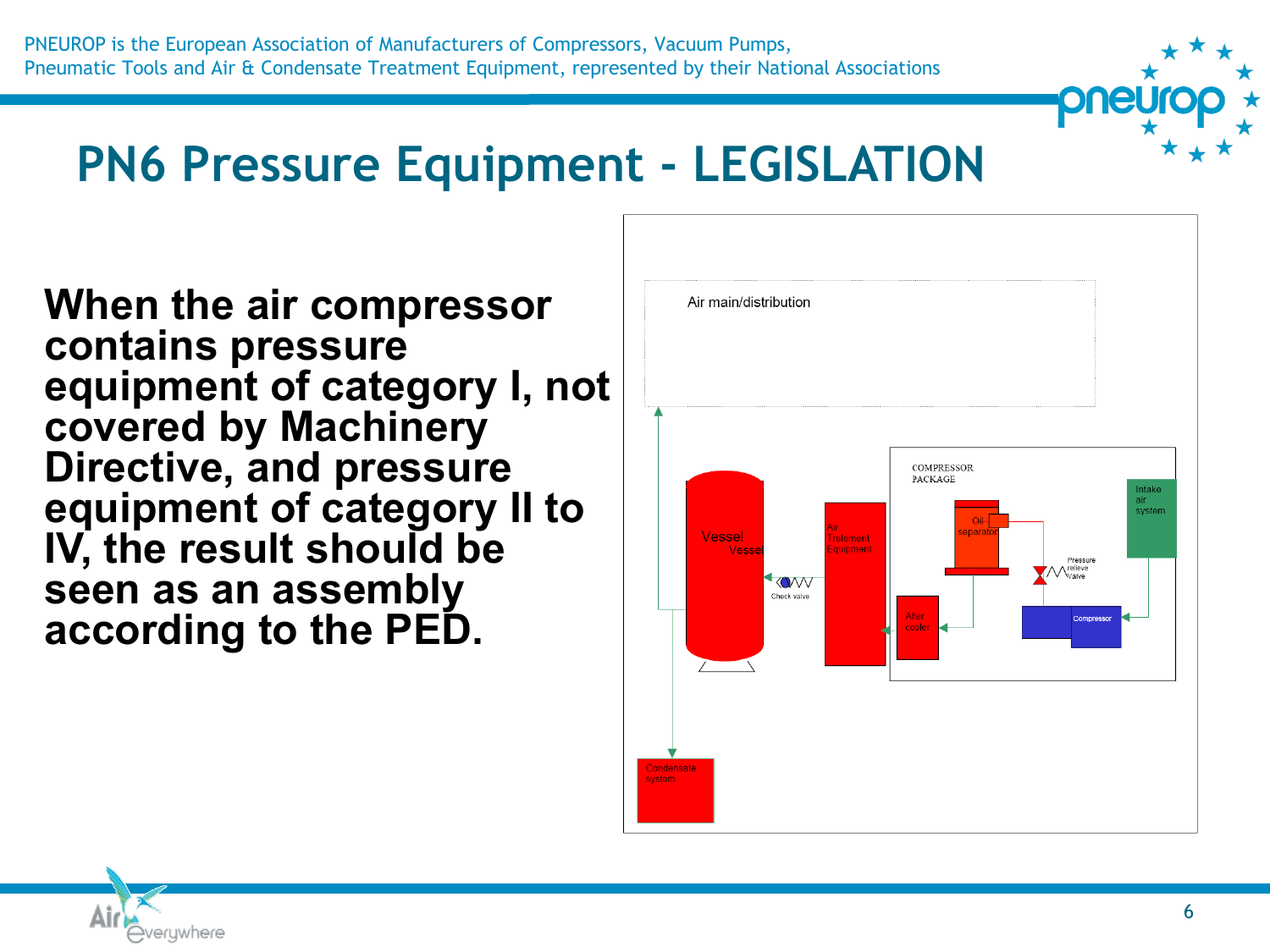## **PN6 Pressure Equipment - LEGISLATION**

**When the air compressor contains pressure equipment of category I, not covered by Machinery Directive, and pressure equipment of category II to IV, the result should be seen as an assembly according to the PED.**



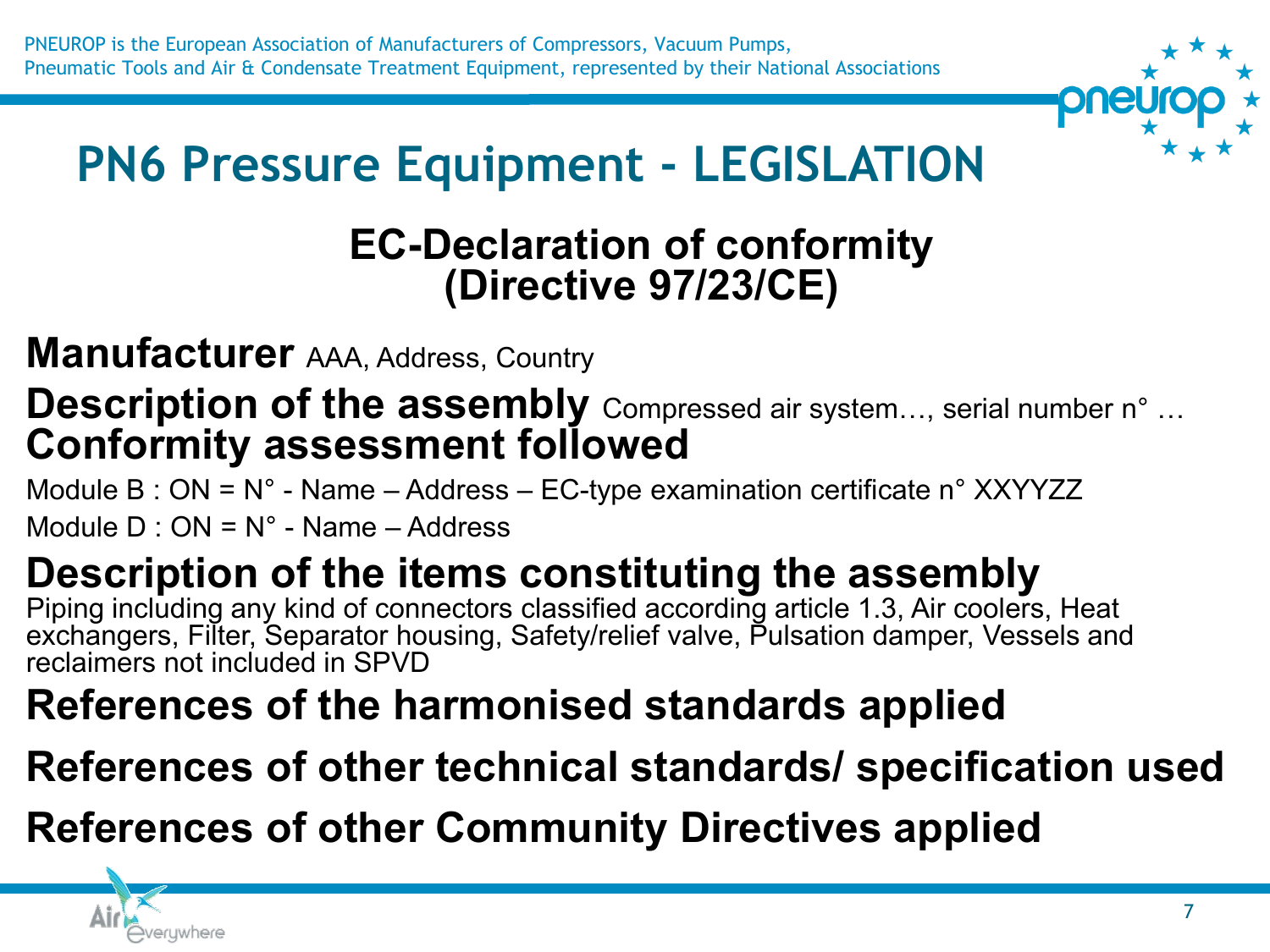

# **PN6 Pressure Equipment - LEGISLATION**

### **EC-Declaration of conformity (Directive 97/23/CE)**

**Manufacturer** AAA, Address, Country

#### **Description of the assembly** Compressed air system..., serial number n° ... **Conformity assessment followed**

Module B : ON = N° - Name – Address – EC-type examination certificate n° XXYYZZ

Module  $D \cdot ON = N^\circ$  - Name – Address

### **Description of the items constituting the assembly**

Piping including any kind of connectors classified according article 1.3, Air coolers, Heat exchangers, Filter, Separator housing, Safety/relief valve, Pulsation damper, Vessels and reclaimers not included in SPVD

### **References of the harmonised standards applied**

### **References of other technical standards/ specification used**

**References of other Community Directives applied** 

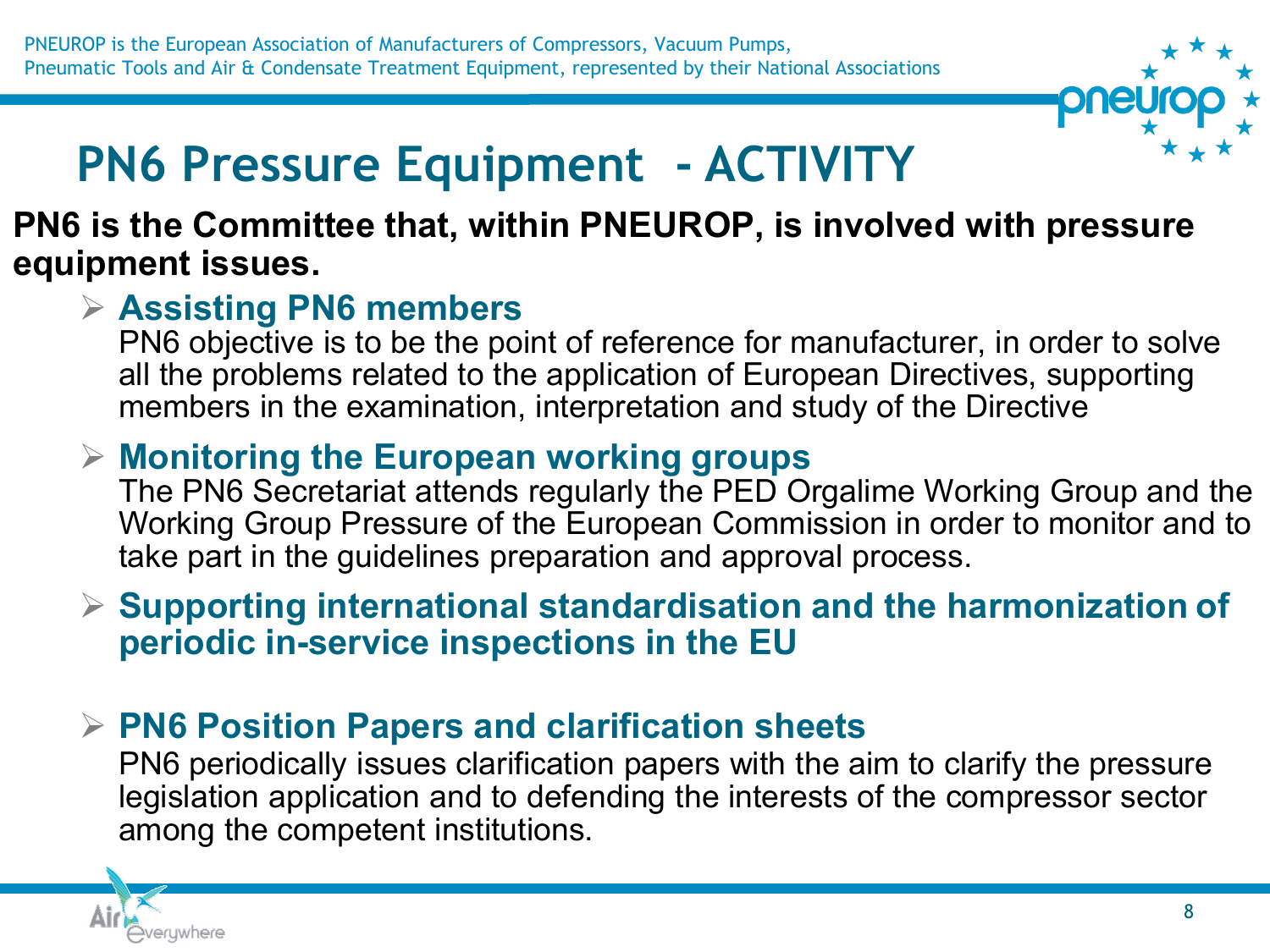

# **PN6 Pressure Equipment - ACTIVITY**

#### **PN6 is the Committee that, within PNEUROP, is involved with pressure equipment issues.**

#### ➢ **Assisting PN6 members**

PN6 objective is to be the point of reference for manufacturer, in order to solve all the problems related to the application of European Directives, supporting members in the examination, interpretation and study of the Directive

#### ➢ **Monitoring the European working groups**

The PN6 Secretariat attends regularly the PED Orgalime Working Group and the Working Group Pressure of the European Commission in order to monitor and to take part in the guidelines preparation and approval process.

#### ➢ **Supporting international standardisation and the harmonization of periodic in-service inspections in the EU**

#### ➢ **PN6 Position Papers and clarification sheets**

PN6 periodically issues clarification papers with the aim to clarify the pressure legislation application and to defending the interests of the compressor sector among the competent institutions.

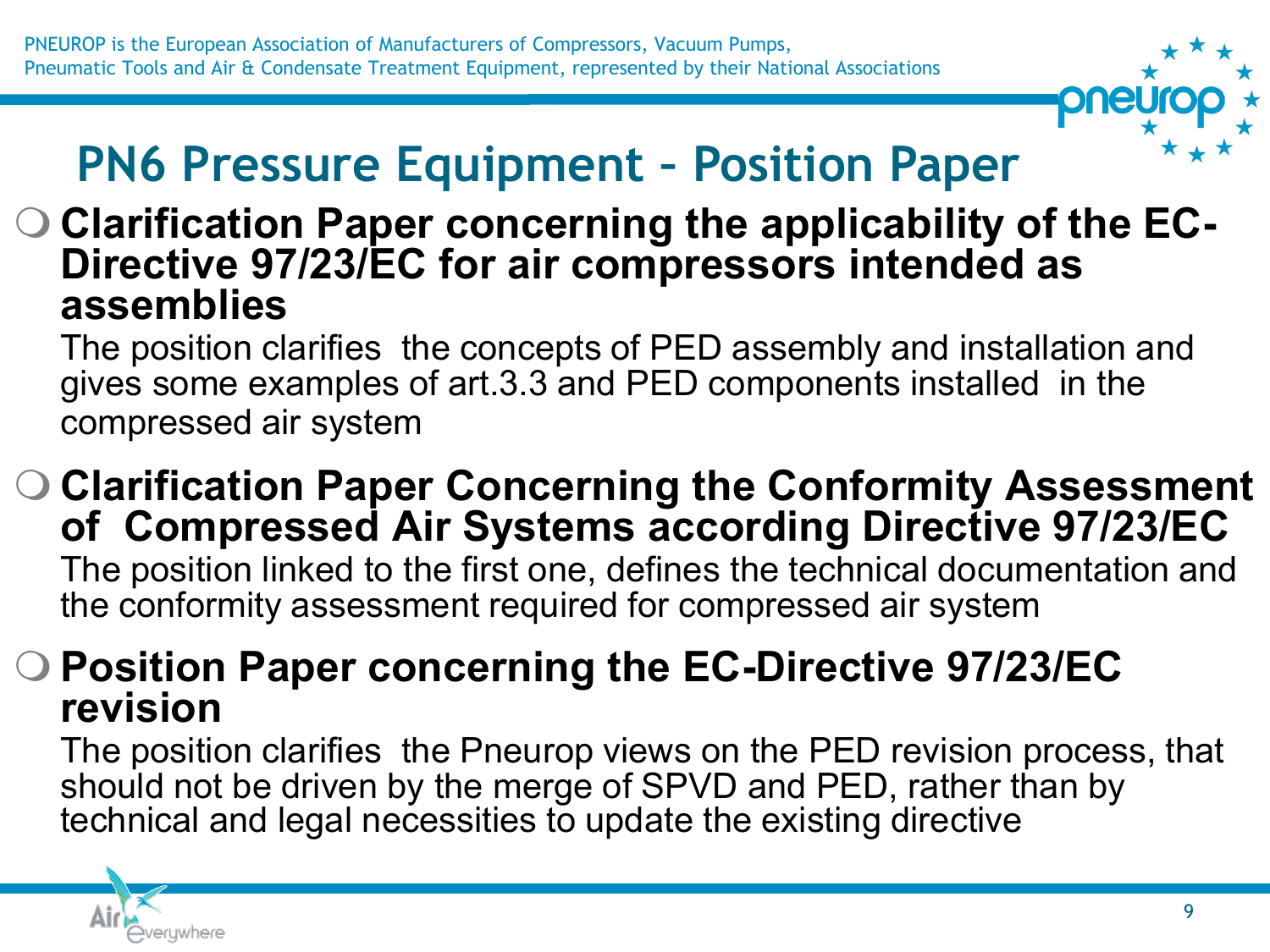

# **PN6 Pressure Equipment – Position Paper**

#### **Clarification Paper concerning the applicability of the EC-Directive 97/23/EC for air compressors intended as assemblies**

The position clarifies the concepts of PED assembly and installation and gives some examples of art.3.3 and PED components installed in the compressed air system

 **Clarification Paper Concerning the Conformity Assessment of Compressed Air Systems according Directive 97/23/EC** The position linked to the first one, defines the technical documentation and the conformity assessment required for compressed air system

#### **Position Paper concerning the EC-Directive 97/23/EC revision**

The position clarifies the Pneurop views on the PED revision process, that should not be driven by the merge of SPVD and PED, rather than by technical and legal necessities to update the existing directive